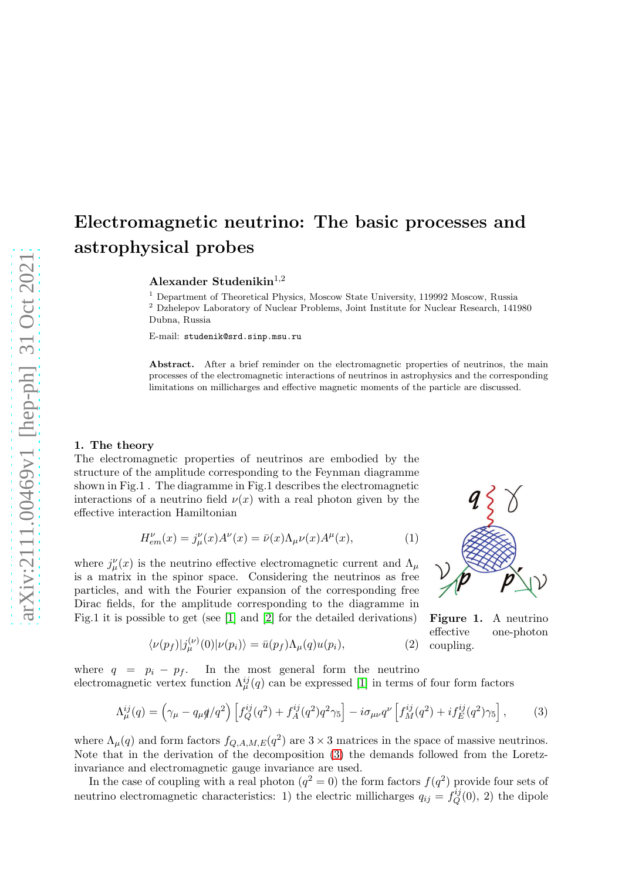# Electromagnetic neutrino: The basic processes and astrophysical probes

Alexander Studenikin $^{1,2}$ 

<sup>1</sup> Department of Theoretical Physics, Moscow State University, 119992 Moscow, Russia <sup>2</sup> Dzhelepov Laboratory of Nuclear Problems, Joint Institute for Nuclear Research, 141980 Dubna, Russia

E-mail: studenik@srd.sinp.msu.ru

Abstract. After a brief reminder on the electromagnetic properties of neutrinos, the main processes of the electromagnetic interactions of neutrinos in astrophysics and the corresponding limitations on millicharges and effective magnetic moments of the particle are discussed.

### 1. The theory

The electromagnetic properties of neutrinos are embodied by the structure of the amplitude corresponding to the Feynman diagramme shown in Fig.1 . The diagramme in Fig.1 describes the electromagnetic interactions of a neutrino field  $\nu(x)$  with a real photon given by the effective interaction Hamiltonian

$$
H_{em}^{\nu}(x) = j_{\mu}^{\nu}(x)A^{\nu}(x) = \bar{\nu}(x)\Lambda_{\mu}\nu(x)A^{\mu}(x), \qquad (1)
$$

where  $j^{\nu}_{\mu}(x)$  is the neutrino effective electromagnetic current and  $\Lambda_{\mu}$ is a matrix in the spinor space. Considering the neutrinos as free particles, and with the Fourier expansion of the corresponding free Dirac fields, for the amplitude corresponding to the diagramme in Fig.1 it is possible to get (see [\[1\]](#page-4-0) and [\[2\]](#page-4-1) for the detailed derivations)



Figure 1. A neutrino effective one-photon coupling.

 $\langle \nu(p_f) | j_{\mu}^{(\nu)}(0) | \nu(p_i) \rangle = \bar{u}(p_f) \Lambda_{\mu}(q) u(p_i),$  (2) where  $q = p_i - p_f$ . In the most general form the neutrino

electromagnetic vertex function  $\Lambda_{\mu}^{ij}(q)$  can be expressed [\[1\]](#page-4-0) in terms of four form factors

<span id="page-0-0"></span>
$$
\Lambda_{\mu}^{ij}(q) = \left(\gamma_{\mu} - q_{\mu}q/q^2\right) \left[f_Q^{ij}(q^2) + f_A^{ij}(q^2)q^2\gamma_5\right] - i\sigma_{\mu\nu}q^{\nu} \left[f_M^{ij}(q^2) + if_E^{ij}(q^2)\gamma_5\right],\tag{3}
$$

where  $\Lambda_{\mu}(q)$  and form factors  $f_{Q,A,M,E}(q^2)$  are  $3 \times 3$  matrices in the space of massive neutrinos. Note that in the derivation of the decomposition [\(3\)](#page-0-0) the demands followed from the Loretzinvariance and electromagnetic gauge invariance are used.

In the case of coupling with a real photon  $(q^2 = 0)$  the form factors  $f(q^2)$  provide four sets of neutrino electromagnetic characteristics: 1) the electric millicharges  $q_{ij} = f_Q^{ij}(0)$ , 2) the dipole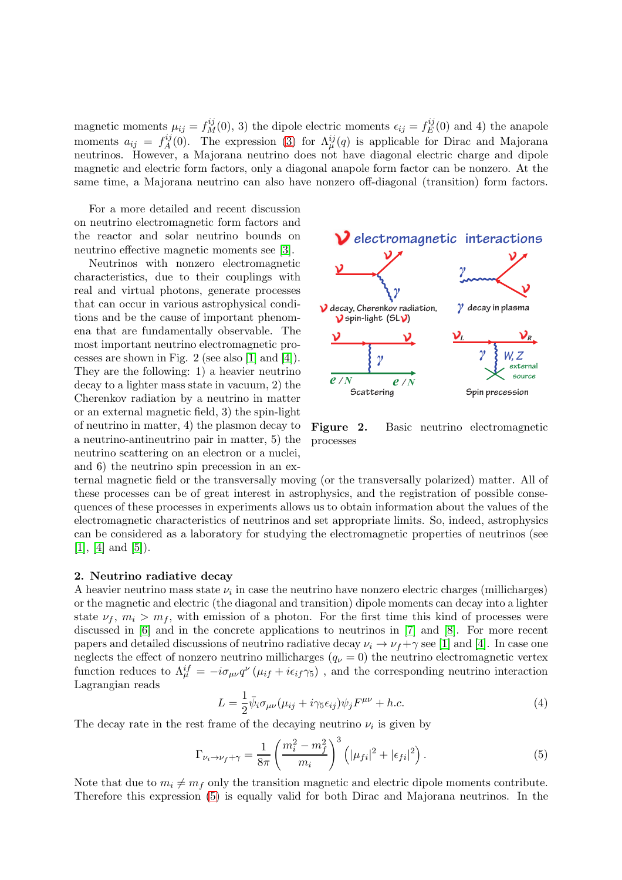magnetic moments  $\mu_{ij} = f_M^{ij}(0), 3$  the dipole electric moments  $\epsilon_{ij} = f_E^{ij}$  $E^{ij}(0)$  and 4) the anapole moments  $a_{ij} = f_A^{ij}$  $\Lambda_A^{ij}(0)$ . The expression [\(3\)](#page-0-0) for  $\Lambda_{\mu}^{ij}(q)$  is applicable for Dirac and Majorana neutrinos. However, a Majorana neutrino does not have diagonal electric charge and dipole magnetic and electric form factors, only a diagonal anapole form factor can be nonzero. At the same time, a Majorana neutrino can also have nonzero off-diagonal (transition) form factors.

For a more detailed and recent discussion on neutrino electromagnetic form factors and the reactor and solar neutrino bounds on neutrino effective magnetic moments see [\[3\]](#page-4-2).

Neutrinos with nonzero electromagnetic characteristics, due to their couplings with real and virtual photons, generate processes that can occur in various astrophysical conditions and be the cause of important phenomena that are fundamentally observable. The most important neutrino electromagnetic processes are shown in Fig. 2 (see also [\[1\]](#page-4-0) and [\[4\]](#page-4-3)). They are the following: 1) a heavier neutrino decay to a lighter mass state in vacuum, 2) the Cherenkov radiation by a neutrino in matter or an external magnetic field, 3) the spin-light of neutrino in matter, 4) the plasmon decay to a neutrino-antineutrino pair in matter, 5) the neutrino scattering on an electron or a nuclei, and 6) the neutrino spin precession in an ex-



Figure 2. Basic neutrino electromagnetic processes

ternal magnetic field or the transversally moving (or the transversally polarized) matter. All of these processes can be of great interest in astrophysics, and the registration of possible consequences of these processes in experiments allows us to obtain information about the values of the electromagnetic characteristics of neutrinos and set appropriate limits. So, indeed, astrophysics can be considered as a laboratory for studying the electromagnetic properties of neutrinos (see  $[1], [4]$  $[1], [4]$  $[1], [4]$  and  $[5]$ ).

## 2. Neutrino radiative decay

A heavier neutrino mass state  $\nu_i$  in case the neutrino have nonzero electric charges (millicharges) or the magnetic and electric (the diagonal and transition) dipole moments can decay into a lighter state  $\nu_f$ ,  $m_i > m_f$ , with emission of a photon. For the first time this kind of processes were discussed in [\[6\]](#page-4-5) and in the concrete applications to neutrinos in [\[7\]](#page-4-6) and [\[8\]](#page-4-7). For more recent papers and detailed discussions of neutrino radiative decay  $\nu_i \rightarrow \nu_f + \gamma$  see [\[1\]](#page-4-0) and [\[4\]](#page-4-3). In case one neglects the effect of nonzero neutrino millicharges  $(q_{\nu} = 0)$  the neutrino electromagnetic vertex function reduces to  $\Lambda_{\mu}^{if} = -i\sigma_{\mu\nu}q^{\nu}(\mu_{if} + i\epsilon_{if}\gamma_{5})$ , and the corresponding neutrino interaction Lagrangian reads

$$
L = \frac{1}{2}\bar{\psi}_i\sigma_{\mu\nu}(\mu_{ij} + i\gamma_5\epsilon_{ij})\psi_j F^{\mu\nu} + h.c.
$$
\n(4)

The decay rate in the rest frame of the decaying neutrino  $\nu_i$  is given by

<span id="page-1-0"></span>
$$
\Gamma_{\nu_i \to \nu_f + \gamma} = \frac{1}{8\pi} \left( \frac{m_i^2 - m_f^2}{m_i} \right)^3 \left( |\mu_{fi}|^2 + |\epsilon_{fi}|^2 \right). \tag{5}
$$

Note that due to  $m_i \neq m_f$  only the transition magnetic and electric dipole moments contribute. Therefore this expression [\(5\)](#page-1-0) is equally valid for both Dirac and Majorana neutrinos. In the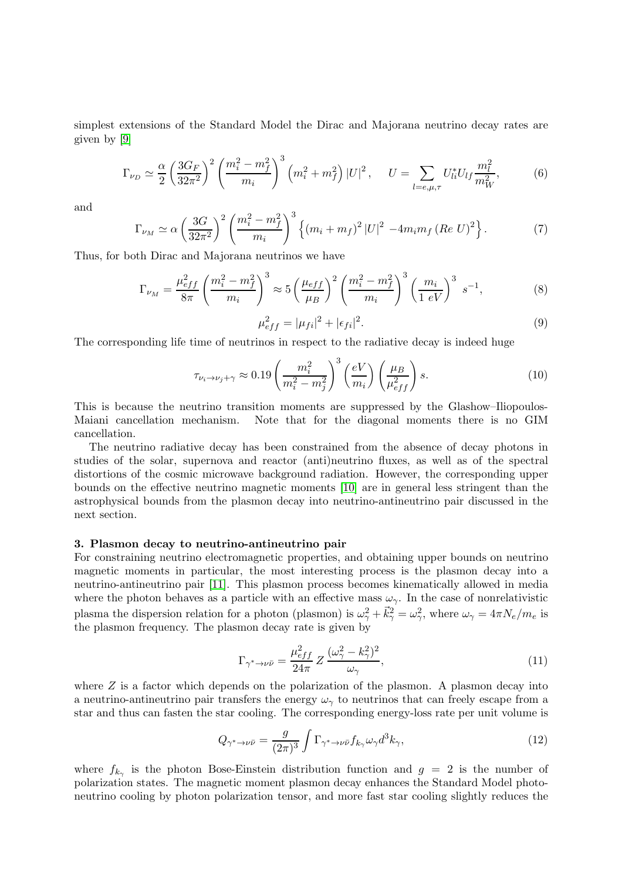simplest extensions of the Standard Model the Dirac and Majorana neutrino decay rates are given by [\[9\]](#page-4-8)

$$
\Gamma_{\nu_D} \simeq \frac{\alpha}{2} \left(\frac{3G_F}{32\pi^2}\right)^2 \left(\frac{m_i^2 - m_f^2}{m_i}\right)^3 \left(m_i^2 + m_f^2\right) |U|^2, \quad U = \sum_{l=e,\mu,\tau} U_{li}^* U_{lj} \frac{m_l^2}{m_W^2},\tag{6}
$$

and

$$
\Gamma_{\nu_M} \simeq \alpha \left(\frac{3G}{32\pi^2}\right)^2 \left(\frac{m_i^2 - m_f^2}{m_i}\right)^3 \left\{ (m_i + m_f)^2 |U|^2 - 4m_i m_f \left( Re \ U \right)^2 \right\}.
$$
 (7)

Thus, for both Dirac and Majorana neutrinos we have

$$
\Gamma_{\nu_M} = \frac{\mu_{eff}^2}{8\pi} \left(\frac{m_i^2 - m_f^2}{m_i}\right)^3 \approx 5 \left(\frac{\mu_{eff}}{\mu_B}\right)^2 \left(\frac{m_i^2 - m_f^2}{m_i}\right)^3 \left(\frac{m_i}{1 \text{ eV}}\right)^3 \ s^{-1},\tag{8}
$$

$$
\mu_{eff}^2 = |\mu_{fi}|^2 + |\epsilon_{fi}|^2. \tag{9}
$$

The corresponding life time of neutrinos in respect to the radiative decay is indeed huge

$$
\tau_{\nu_i \to \nu_j + \gamma} \approx 0.19 \left( \frac{m_i^2}{m_i^2 - m_j^2} \right)^3 \left( \frac{eV}{m_i} \right) \left( \frac{\mu_B}{\mu_{eff}^2} \right) s. \tag{10}
$$

This is because the neutrino transition moments are suppressed by the Glashow–Iliopoulos-Maiani cancellation mechanism. Note that for the diagonal moments there is no GIM cancellation.

The neutrino radiative decay has been constrained from the absence of decay photons in studies of the solar, supernova and reactor (anti)neutrino fluxes, as well as of the spectral distortions of the cosmic microwave background radiation. However, the corresponding upper bounds on the effective neutrino magnetic moments [\[10\]](#page-4-9) are in general less stringent than the astrophysical bounds from the plasmon decay into neutrino-antineutrino pair discussed in the next section.

#### 3. Plasmon decay to neutrino-antineutrino pair

For constraining neutrino electromagnetic properties, and obtaining upper bounds on neutrino magnetic moments in particular, the most interesting process is the plasmon decay into a neutrino-antineutrino pair [\[11\]](#page-4-10). This plasmon process becomes kinematically allowed in media where the photon behaves as a particle with an effective mass  $\omega_{\gamma}$ . In the case of nonrelativistic plasma the dispersion relation for a photon (plasmon) is  $\omega_\gamma^2 + \vec{k}_\gamma^2 = \omega_\gamma^2$ , where  $\omega_\gamma = 4\pi N_e/m_e$  is the plasmon frequency. The plasmon decay rate is given by

$$
\Gamma_{\gamma^* \to \nu\bar{\nu}} = \frac{\mu_{eff}^2}{24\pi} Z \frac{(\omega_\gamma^2 - k_\gamma^2)^2}{\omega_\gamma},\tag{11}
$$

where  $Z$  is a factor which depends on the polarization of the plasmon. A plasmon decay into a neutrino-antineutrino pair transfers the energy  $\omega_{\gamma}$  to neutrinos that can freely escape from a star and thus can fasten the star cooling. The corresponding energy-loss rate per unit volume is

$$
Q_{\gamma^* \to \nu \bar{\nu}} = \frac{g}{(2\pi)^3} \int \Gamma_{\gamma^* \to \nu \bar{\nu}} f_{k\gamma} \omega_{\gamma} d^3 k_{\gamma}, \tag{12}
$$

where  $f_{k_{\gamma}}$  is the photon Bose-Einstein distribution function and  $g = 2$  is the number of polarization states. The magnetic moment plasmon decay enhances the Standard Model photoneutrino cooling by photon polarization tensor, and more fast star cooling slightly reduces the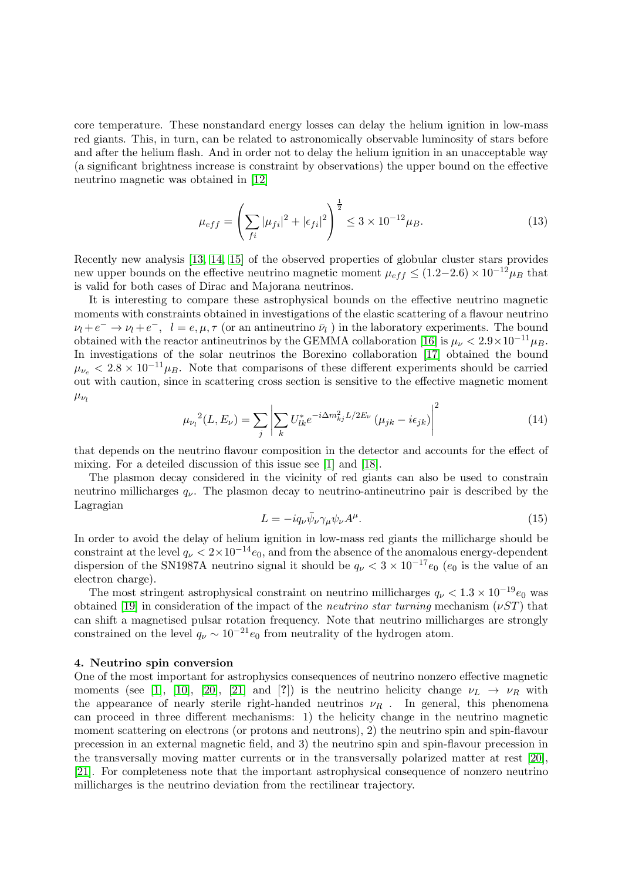core temperature. These nonstandard energy losses can delay the helium ignition in low-mass red giants. This, in turn, can be related to astronomically observable luminosity of stars before and after the helium flash. And in order not to delay the helium ignition in an unacceptable way (a significant brightness increase is constraint by observations) the upper bound on the effective neutrino magnetic was obtained in [\[12\]](#page-4-11)

$$
\mu_{eff} = \left(\sum_{fi} |\mu_{fi}|^2 + |\epsilon_{fi}|^2\right)^{\frac{1}{2}} \le 3 \times 10^{-12} \mu_B.
$$
\n(13)

Recently new analysis [\[13,](#page-4-12) [14,](#page-4-13) [15\]](#page-4-14) of the observed properties of globular cluster stars provides new upper bounds on the effective neutrino magnetic moment  $\mu_{eff} \leq (1.2-2.6) \times 10^{-12} \mu_B$  that is valid for both cases of Dirac and Majorana neutrinos.

It is interesting to compare these astrophysical bounds on the effective neutrino magnetic moments with constraints obtained in investigations of the elastic scattering of a flavour neutrino  $\nu_l + e^- \rightarrow \nu_l + e^-$ ,  $l = e, \mu, \tau$  (or an antineutrino  $\bar{\nu}_l$ ) in the laboratory experiments. The bound obtained with the reactor antineutrinos by the GEMMA collaboration [\[16\]](#page-4-15) is  $\mu_{\nu} < 2.9 \times 10^{-11} \mu_B$ . In investigations of the solar neutrinos the Borexino collaboration [\[17\]](#page-4-16) obtained the bound  $\mu_{\nu_e}$  < 2.8 × 10<sup>-11</sup> $\mu_B$ . Note that comparisons of these different experiments should be carried out with caution, since in scattering cross section is sensitive to the effective magnetic moment  $\mu_{\nu_l}$ 

$$
\mu_{\nu_l}{}^2(L, E_{\nu}) = \sum_j \left| \sum_k U_{lk}^* e^{-i\Delta m_{kj}^2 L/2E_{\nu}} \left( \mu_{jk} - i\epsilon_{jk} \right) \right|^2 \tag{14}
$$

that depends on the neutrino flavour composition in the detector and accounts for the effect of mixing. For a deteiled discussion of this issue see [\[1\]](#page-4-0) and [\[18\]](#page-4-17).

The plasmon decay considered in the vicinity of red giants can also be used to constrain neutrino millicharges  $q_{\nu}$ . The plasmon decay to neutrino-antineutrino pair is described by the Lagragian

$$
L = -iq_{\nu}\bar{\psi}_{\nu}\gamma_{\mu}\psi_{\nu}A^{\mu}.
$$
\n(15)

In order to avoid the delay of helium ignition in low-mass red giants the millicharge should be constraint at the level  $q_{\nu} < 2 \times 10^{-14} e_0$ , and from the absence of the anomalous energy-dependent dispersion of the SN1987A neutrino signal it should be  $q_{\nu} < 3 \times 10^{-17} e_0$  (e<sub>0</sub> is the value of an electron charge).

The most stringent astrophysical constraint on neutrino millicharges  $q_{\nu} < 1.3 \times 10^{-19} e_0$  was obtained [\[19\]](#page-4-18) in consideration of the impact of the *neutrino star turning* mechanism ( $\nu ST$ ) that can shift a magnetised pulsar rotation frequency. Note that neutrino millicharges are strongly constrained on the level  $q_{\nu} \sim 10^{-21} e_0$  from neutrality of the hydrogen atom.

## 4. Neutrino spin conversion

One of the most important for astrophysics consequences of neutrino nonzero effective magnetic moments (see [\[1\]](#page-4-0), [\[10\]](#page-4-9), [\[20\]](#page-4-19), [\[21\]](#page-4-20) and [?]) is the neutrino helicity change  $\nu_L \rightarrow \nu_R$  with the appearance of nearly sterile right-handed neutrinos  $\nu_R$ . In general, this phenomena can proceed in three different mechanisms: 1) the helicity change in the neutrino magnetic moment scattering on electrons (or protons and neutrons), 2) the neutrino spin and spin-flavour precession in an external magnetic field, and 3) the neutrino spin and spin-flavour precession in the transversally moving matter currents or in the transversally polarized matter at rest [\[20\]](#page-4-19), [\[21\]](#page-4-20). For completeness note that the important astrophysical consequence of nonzero neutrino millicharges is the neutrino deviation from the rectilinear trajectory.